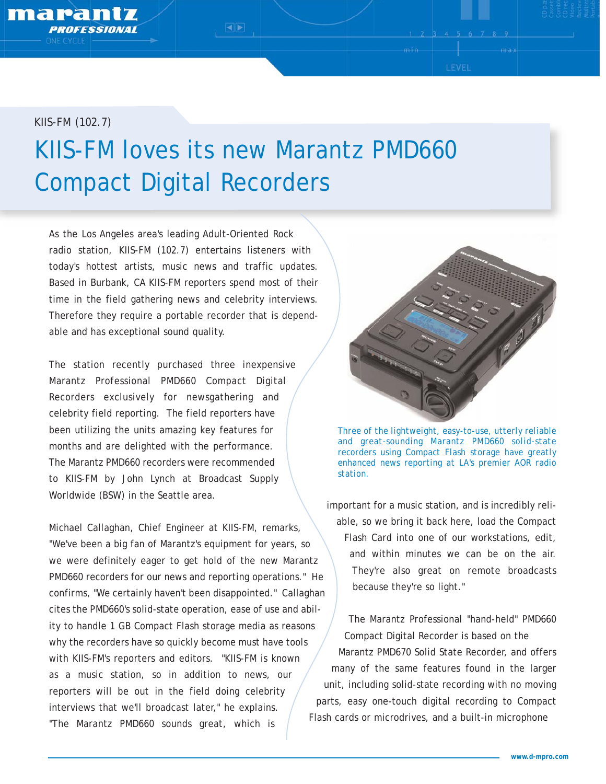marantz

## *KIIS-FM (102.7)* KIIS-FM loves its new Marantz PMD660 Compact Digital Recorders

 $\overline{\blacktriangleleft}$ 

As the Los Angeles area's leading Adult-Oriented Rock radio station, KIIS-FM (102.7) entertains listeners with today's hottest artists, music news and traffic updates. Based in Burbank, CA KIIS-FM reporters spend most of their time in the field gathering news and celebrity interviews. Therefore they require a portable recorder that is dependable and has exceptional sound quality.

The station recently purchased three inexpensive Marantz Professional PMD660 Compact Digital Recorders exclusively for newsgathering and celebrity field reporting. The field reporters have been utilizing the units amazing key features for months and are delighted with the performance. The Marantz PMD660 recorders were recommended to KIIS-FM by John Lynch at Broadcast Supply Worldwide (BSW) in the Seattle area.

Michael Callaghan, Chief Engineer at KIIS-FM, remarks, "We've been a big fan of Marantz's equipment for years, so we were definitely eager to get hold of the new Marantz PMD660 recorders for our news and reporting operations." He confirms, "We certainly haven't been disappointed." Callaghan cites the PMD660's solid-state operation, ease of use and ability to handle 1 GB Compact Flash storage media as reasons why the recorders have so quickly become must have tools with KIIS-FM's reporters and editors. "KIIS-FM is known as a music station, so in addition to news, our reporters will be out in the field doing celebrity interviews that we'll broadcast later," he explains. "The Marantz PMD660 sounds great, which is



LEVEL

*Three of the lightweight, easy-to-use, utterly reliable and great-sounding Marantz PMD660 solid-state recorders using Compact Flash storage have greatly enhanced news reporting at LA's premier AOR radio station.* 

important for a music station, and is incredibly reliable, so we bring it back here, load the Compact Flash Card into one of our workstations, edit, and within minutes we can be on the air. They're also great on remote broadcasts because they're so light."

The Marantz Professional "hand-held" PMD660 Compact Digital Recorder is based on the Marantz PMD670 Solid State Recorder, and offers many of the same features found in the larger unit, including solid-state recording with no moving parts, easy one-touch digital recording to Compact Flash cards or microdrives, and a built-in microphone